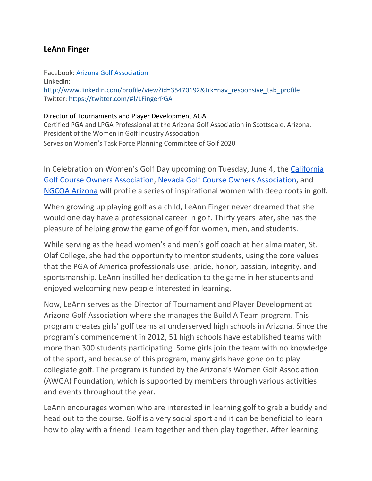## **LeAnn Finger**

Facebook: [Arizona Golf Association](https://www.facebook.com/ArizonaGolfAssociation/) Linkedin: [http://www.linkedin.com/profile/view?id=35470192&trk=nav\\_responsive\\_tab\\_profile](http://www.linkedin.com/profile/view?id=35470192&trk=nav_responsive_tab_profile) Twitter:<https://twitter.com/#!/LFingerPGA>

## Director of Tournaments and Player Development AGA.

Certified PGA and LPGA Professional at the Arizona Golf Association in Scottsdale, Arizona. President of the Women in Golf Industry Association Serves on Women's Task Force Planning Committee of Golf 2020

In Celebration on Women's Golf Day upcoming on Tuesday, June 4, the [California](https://cgcoa.net/) Golf Course Owners [Association,](https://cgcoa.net/) Nevada Golf Course Owners [Association,](https://golfnevada.org/) and NGCOA [Arizona](https://ngcoaaz.org/) will profile a series of inspirational women with deep roots in golf.

When growing up playing golf as a child, LeAnn Finger never dreamed that she would one day have a professional career in golf. Thirty years later, she has the pleasure of helping grow the game of golf for women, men, and students.

While serving as the head women's and men's golf coach at her alma mater, St. Olaf College, she had the opportunity to mentor students, using the core values that the PGA of America professionals use: pride, honor, passion, integrity, and sportsmanship. LeAnn instilled her dedication to the game in her students and enjoyed welcoming new people interested in learning.

Now, LeAnn serves as the Director of Tournament and Player Development at Arizona Golf Association where she manages the Build A Team program. This program creates girls' golf teams at underserved high schools in Arizona. Since the program's commencement in 2012, 51 high schools have established teams with more than 300 students participating. Some girls join the team with no knowledge of the sport, and because of this program, many girls have gone on to play collegiate golf. The program is funded by the Arizona's Women Golf Association (AWGA) Foundation, which is supported by members through various activities and events throughout the year.

LeAnn encourages women who are interested in learning golf to grab a buddy and head out to the course. Golf is a very social sport and it can be beneficial to learn how to play with a friend. Learn together and then play together. After learning